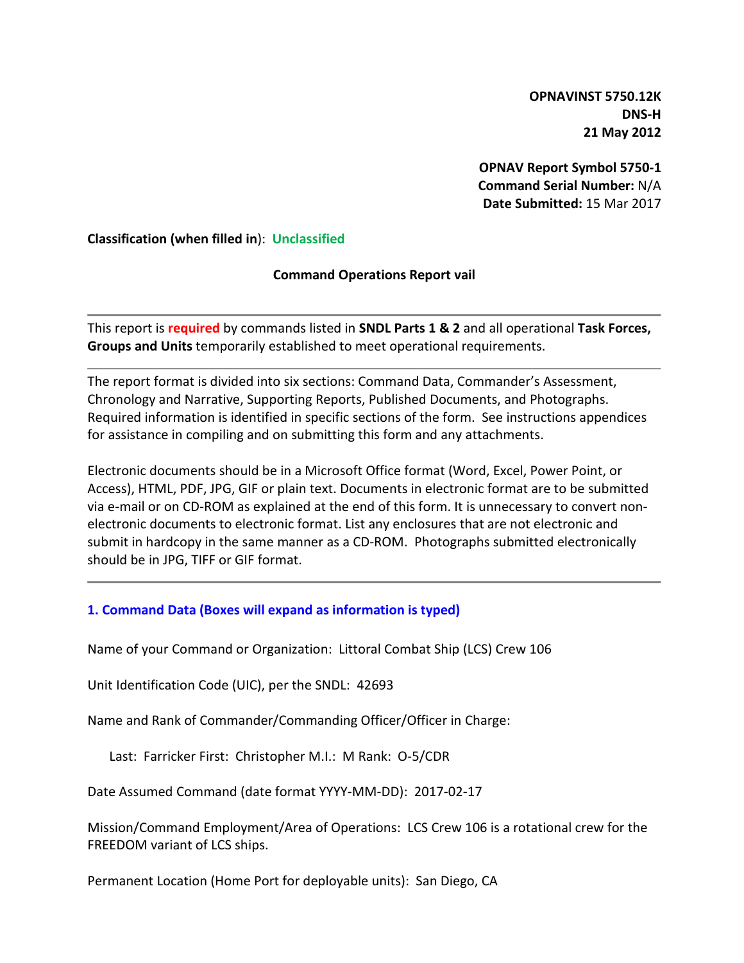**OPNAVINST 5750.12K DNS-H 21 May 2012**

**OPNAV Report Symbol 5750-1 Command Serial Number:** N/A **Date Submitted:** 15 Mar 2017

**Classification (when filled in**): **Unclassified**

# **Command Operations Report vail**

This report is **required** by commands listed in **SNDL Parts 1 & 2** and all operational **Task Forces, Groups and Units** temporarily established to meet operational requirements.

The report format is divided into six sections: Command Data, Commander's Assessment, Chronology and Narrative, Supporting Reports, Published Documents, and Photographs. Required information is identified in specific sections of the form. See instructions appendices for assistance in compiling and on submitting this form and any attachments.

Electronic documents should be in a Microsoft Office format (Word, Excel, Power Point, or Access), HTML, PDF, JPG, GIF or plain text. Documents in electronic format are to be submitted via e-mail or on CD-ROM as explained at the end of this form. It is unnecessary to convert nonelectronic documents to electronic format. List any enclosures that are not electronic and submit in hardcopy in the same manner as a CD-ROM. Photographs submitted electronically should be in JPG, TIFF or GIF format.

# **1. Command Data (Boxes will expand as information is typed)**

Name of your Command or Organization: Littoral Combat Ship (LCS) Crew 106

Unit Identification Code (UIC), per the SNDL: 42693

Name and Rank of Commander/Commanding Officer/Officer in Charge:

Last: Farricker First: Christopher M.I.: M Rank: O-5/CDR

Date Assumed Command (date format YYYY-MM-DD): 2017-02-17

Mission/Command Employment/Area of Operations: LCS Crew 106 is a rotational crew for the FREEDOM variant of LCS ships.

Permanent Location (Home Port for deployable units): San Diego, CA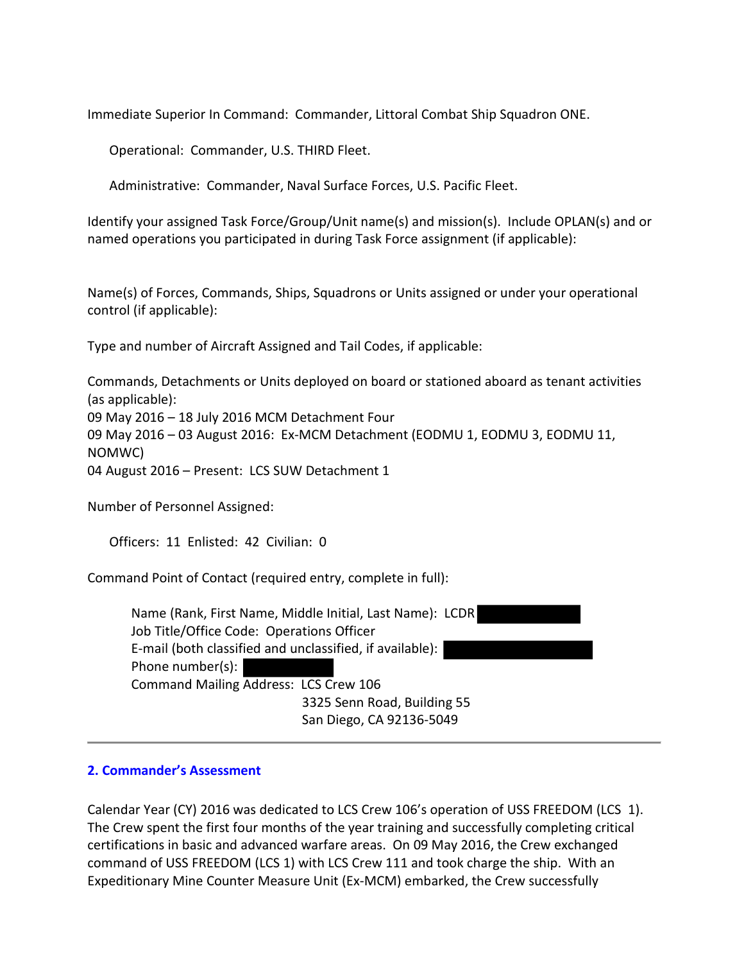Immediate Superior In Command: Commander, Littoral Combat Ship Squadron ONE.

Operational: Commander, U.S. THIRD Fleet.

Administrative: Commander, Naval Surface Forces, U.S. Pacific Fleet.

Identify your assigned Task Force/Group/Unit name(s) and mission(s). Include OPLAN(s) and or named operations you participated in during Task Force assignment (if applicable):

Name(s) of Forces, Commands, Ships, Squadrons or Units assigned or under your operational control (if applicable):

Type and number of Aircraft Assigned and Tail Codes, if applicable:

Commands, Detachments or Units deployed on board or stationed aboard as tenant activities (as applicable): 09 May 2016 – 18 July 2016 MCM Detachment Four 09 May 2016 – 03 August 2016: Ex-MCM Detachment (EODMU 1, EODMU 3, EODMU 11, NOMWC) 04 August 2016 – Present: LCS SUW Detachment 1

Number of Personnel Assigned:

Officers: 11 Enlisted: 42 Civilian: 0

Command Point of Contact (required entry, complete in full):

| Name (Rank, First Name, Middle Initial, Last Name): LCDR |
|----------------------------------------------------------|
| Job Title/Office Code: Operations Officer                |
| E-mail (both classified and unclassified, if available): |
| Phone number(s):                                         |
| Command Mailing Address: LCS Crew 106                    |
| 3325 Senn Road, Building 55                              |
| San Diego, CA 92136-5049                                 |
|                                                          |

#### **2. Commander's Assessment**

Calendar Year (CY) 2016 was dedicated to LCS Crew 106's operation of USS FREEDOM (LCS 1). The Crew spent the first four months of the year training and successfully completing critical certifications in basic and advanced warfare areas. On 09 May 2016, the Crew exchanged command of USS FREEDOM (LCS 1) with LCS Crew 111 and took charge the ship. With an Expeditionary Mine Counter Measure Unit (Ex-MCM) embarked, the Crew successfully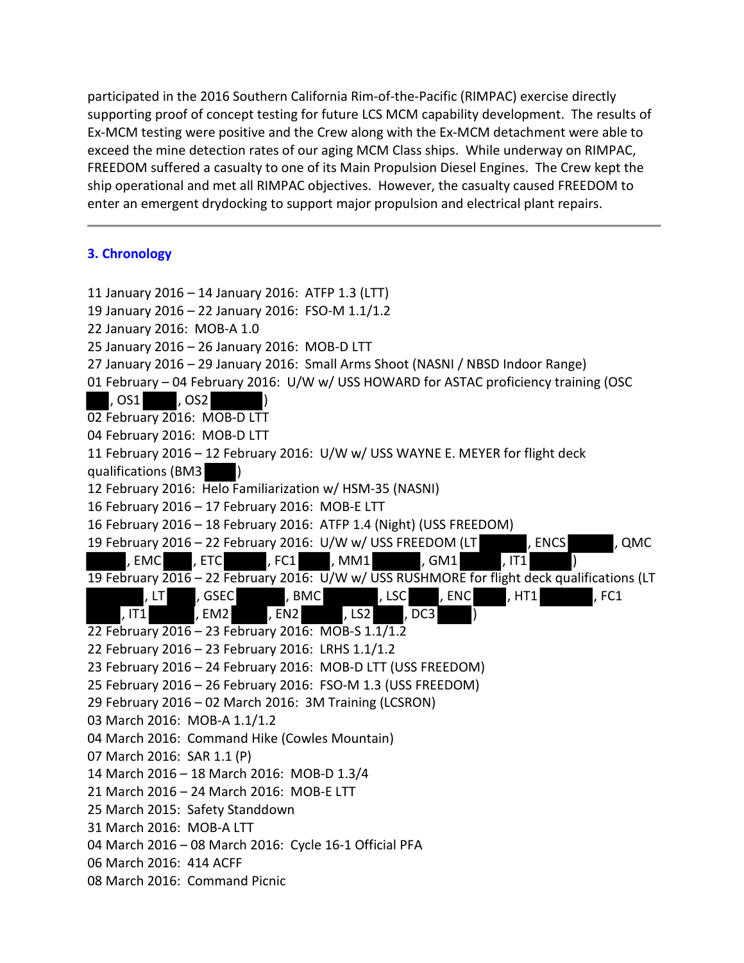participated in the 2016 Southern California Rim-of-the-Pacific (RIMPAC) exercise directly supporting proof of concept testing for future LCS MCM capability development. The results of Ex-MCM testing were positive and the Crew along with the Ex-MCM detachment were able to exceed the mine detection rates of our aging MCM Class ships. While underway on RIMPAC, FREEDOM suffered a casualty to one of its Main Propulsion Diesel Engines. The Crew kept the ship operational and met all RIMPAC objectives. However, the casualty caused FREEDOM to enter an emergent drydocking to support major propulsion and electrical plant repairs.

# **3. Chronology**

11 January 2016 – 14 January 2016: ATFP 1.3 (LTT) 19 January 2016 – 22 January 2016: FSO-M 1.1/1.2 22 January 2016: MOB-A 1.0 25 January 2016 – 26 January 2016: MOB-D LTT 27 January 2016 – 29 January 2016: Small Arms Shoot (NASNI / NBSD Indoor Range) 01 February – 04 February 2016: U/W w/ USS HOWARD for ASTAC proficiency training (OSC , OS1 , OS2 ) 02 February 2016: MOB-D LTT 04 February 2016: MOB-D LTT 11 February 2016 – 12 February 2016: U/W w/ USS WAYNE E. MEYER for flight deck qualifications (BM3 ) 12 February 2016: Helo Familiarization w/ HSM-35 (NASNI) 16 February 2016 – 17 February 2016: MOB-E LTT 16 February 2016 – 18 February 2016: ATFP 1.4 (Night) (USS FREEDOM) 19 February 2016 – 22 February 2016: U/W w/ USS FREEDOM (LT , ENCS , QMC , EMC , ETC , FC1 , MM1 , GM1 , IT1 19 February 2016 – 22 February 2016: U/W w/ USS RUSHMORE for flight deck qualifications (LT , LT , GSEC , BMC , LSC , ENC , HT1 , FC1 , IT1 , EM2 , EN2 , LS2 , DC3 22 February 2016 – 23 February 2016: MOB-S 1.1/1.2 22 February 2016 – 23 February 2016: LRHS 1.1/1.2 23 February 2016 – 24 February 2016: MOB-D LTT (USS FREEDOM) 25 February 2016 – 26 February 2016: FSO-M 1.3 (USS FREEDOM) 29 February 2016 – 02 March 2016: 3M Training (LCSRON) 03 March 2016: MOB-A 1.1/1.2 04 March 2016: Command Hike (Cowles Mountain) 07 March 2016: SAR 1.1 (P) 14 March 2016 – 18 March 2016: MOB-D 1.3/4 21 March 2016 – 24 March 2016: MOB-E LTT 25 March 2015: Safety Standdown 31 March 2016: MOB-A LTT 04 March 2016 – 08 March 2016: Cycle 16-1 Official PFA 06 March 2016: 414 ACFF 08 March 2016: Command Picnic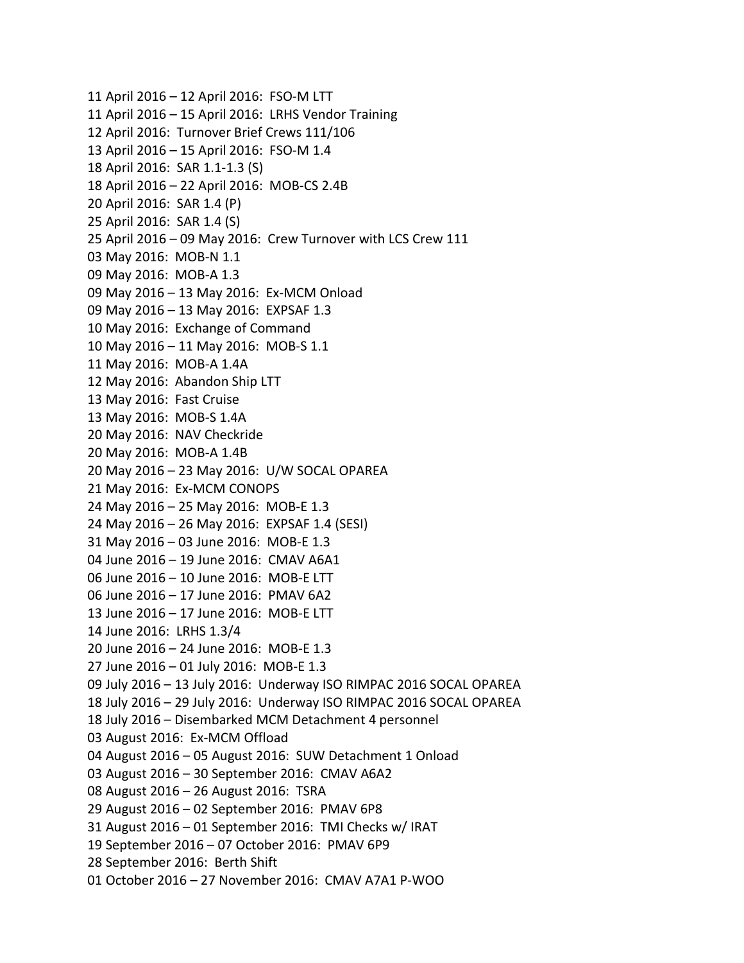11 April 2016 – 12 April 2016: FSO-M LTT 11 April 2016 – 15 April 2016: LRHS Vendor Training 12 April 2016: Turnover Brief Crews 111/106 13 April 2016 – 15 April 2016: FSO-M 1.4 18 April 2016: SAR 1.1-1.3 (S) 18 April 2016 – 22 April 2016: MOB-CS 2.4B 20 April 2016: SAR 1.4 (P) 25 April 2016: SAR 1.4 (S) 25 April 2016 – 09 May 2016: Crew Turnover with LCS Crew 111 03 May 2016: MOB-N 1.1 09 May 2016: MOB-A 1.3 09 May 2016 – 13 May 2016: Ex-MCM Onload 09 May 2016 – 13 May 2016: EXPSAF 1.3 10 May 2016: Exchange of Command 10 May 2016 – 11 May 2016: MOB-S 1.1 11 May 2016: MOB-A 1.4A 12 May 2016: Abandon Ship LTT 13 May 2016: Fast Cruise 13 May 2016: MOB-S 1.4A 20 May 2016: NAV Checkride 20 May 2016: MOB-A 1.4B 20 May 2016 – 23 May 2016: U/W SOCAL OPAREA 21 May 2016: Ex-MCM CONOPS 24 May 2016 – 25 May 2016: MOB-E 1.3 24 May 2016 – 26 May 2016: EXPSAF 1.4 (SESI) 31 May 2016 – 03 June 2016: MOB-E 1.3 04 June 2016 – 19 June 2016: CMAV A6A1 06 June 2016 – 10 June 2016: MOB-E LTT 06 June 2016 – 17 June 2016: PMAV 6A2 13 June 2016 – 17 June 2016: MOB-E LTT 14 June 2016: LRHS 1.3/4 20 June 2016 – 24 June 2016: MOB-E 1.3 27 June 2016 – 01 July 2016: MOB-E 1.3 09 July 2016 – 13 July 2016: Underway ISO RIMPAC 2016 SOCAL OPAREA 18 July 2016 – 29 July 2016: Underway ISO RIMPAC 2016 SOCAL OPAREA 18 July 2016 – Disembarked MCM Detachment 4 personnel 03 August 2016: Ex-MCM Offload 04 August 2016 – 05 August 2016: SUW Detachment 1 Onload 03 August 2016 – 30 September 2016: CMAV A6A2 08 August 2016 – 26 August 2016: TSRA 29 August 2016 – 02 September 2016: PMAV 6P8 31 August 2016 – 01 September 2016: TMI Checks w/ IRAT 19 September 2016 – 07 October 2016: PMAV 6P9 28 September 2016: Berth Shift 01 October 2016 – 27 November 2016: CMAV A7A1 P-WOO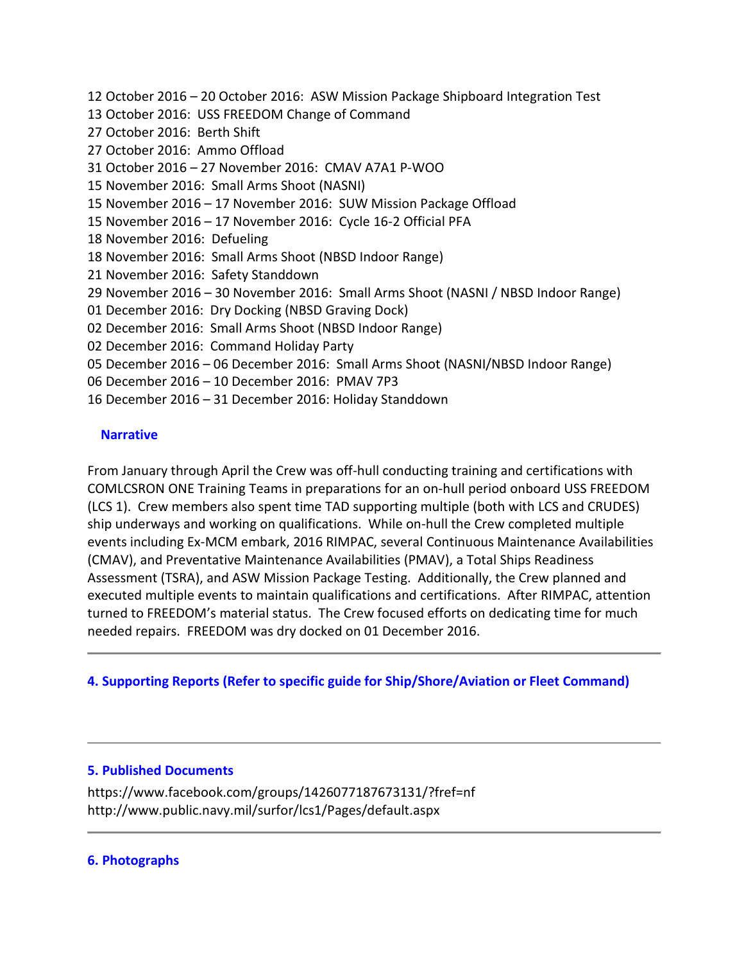12 October 2016 – 20 October 2016: ASW Mission Package Shipboard Integration Test 13 October 2016: USS FREEDOM Change of Command 27 October 2016: Berth Shift 27 October 2016: Ammo Offload 31 October 2016 – 27 November 2016: CMAV A7A1 P-WOO 15 November 2016: Small Arms Shoot (NASNI) 15 November 2016 – 17 November 2016: SUW Mission Package Offload 15 November 2016 – 17 November 2016: Cycle 16-2 Official PFA 18 November 2016: Defueling 18 November 2016: Small Arms Shoot (NBSD Indoor Range) 21 November 2016: Safety Standdown 29 November 2016 – 30 November 2016: Small Arms Shoot (NASNI / NBSD Indoor Range) 01 December 2016: Dry Docking (NBSD Graving Dock) 02 December 2016: Small Arms Shoot (NBSD Indoor Range) 02 December 2016: Command Holiday Party 05 December 2016 – 06 December 2016: Small Arms Shoot (NASNI/NBSD Indoor Range) 06 December 2016 – 10 December 2016: PMAV 7P3 16 December 2016 – 31 December 2016: Holiday Standdown

### **Narrative**

From January through April the Crew was off-hull conducting training and certifications with COMLCSRON ONE Training Teams in preparations for an on-hull period onboard USS FREEDOM (LCS 1). Crew members also spent time TAD supporting multiple (both with LCS and CRUDES) ship underways and working on qualifications. While on-hull the Crew completed multiple events including Ex-MCM embark, 2016 RIMPAC, several Continuous Maintenance Availabilities (CMAV), and Preventative Maintenance Availabilities (PMAV), a Total Ships Readiness Assessment (TSRA), and ASW Mission Package Testing. Additionally, the Crew planned and executed multiple events to maintain qualifications and certifications. After RIMPAC, attention turned to FREEDOM's material status. The Crew focused efforts on dedicating time for much needed repairs. FREEDOM was dry docked on 01 December 2016.

# **4. Supporting Reports (Refer to specific guide for Ship/Shore/Aviation or Fleet Command)**

#### **5. Published Documents**

https://www.facebook.com/groups/1426077187673131/?fref=nf http://www.public.navy.mil/surfor/lcs1/Pages/default.aspx

#### **6. Photographs**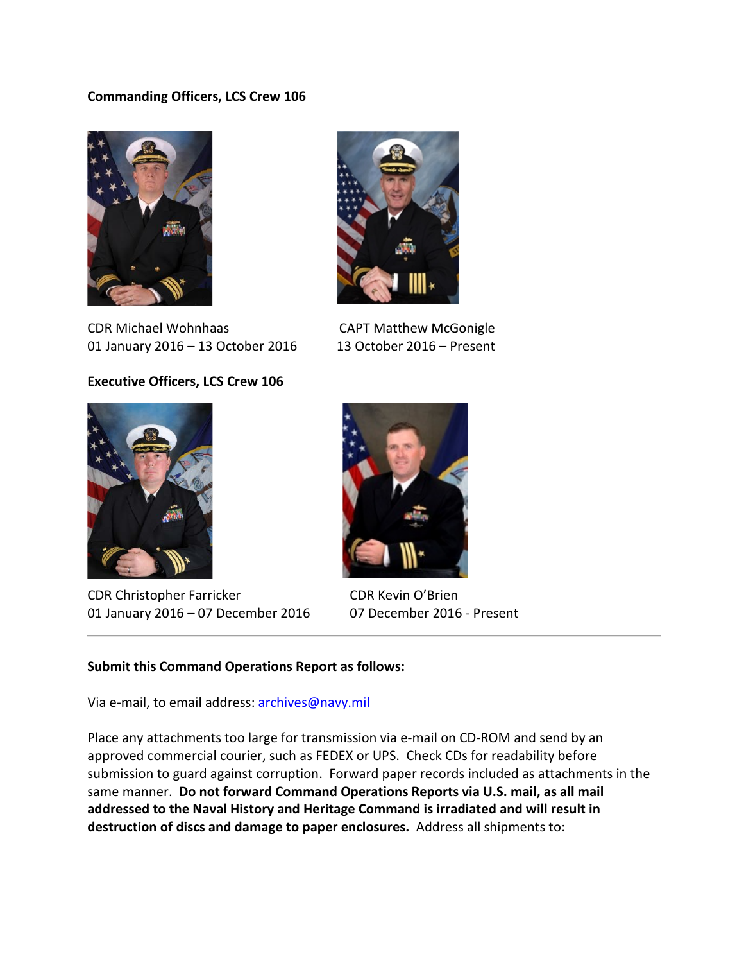# **Commanding Officers, LCS Crew 106**



CDR Michael Wohnhaas CAPT Matthew McGonigle 01 January 2016 – 13 October 2016 13 October 2016 – Present

### **Executive Officers, LCS Crew 106**



CDR Christopher Farricker CDR Kevin O'Brien 01 January 2016 – 07 December 2016 07 December 2016 - Present





#### **Submit this Command Operations Report as follows:**

Via e-mail, to email address: [archives@navy.mil](mailto:archives@navy.mil)

Place any attachments too large for transmission via e-mail on CD-ROM and send by an approved commercial courier, such as FEDEX or UPS. Check CDs for readability before submission to guard against corruption. Forward paper records included as attachments in the same manner. **Do not forward Command Operations Reports via U.S. mail, as all mail addressed to the Naval History and Heritage Command is irradiated and will result in destruction of discs and damage to paper enclosures.** Address all shipments to: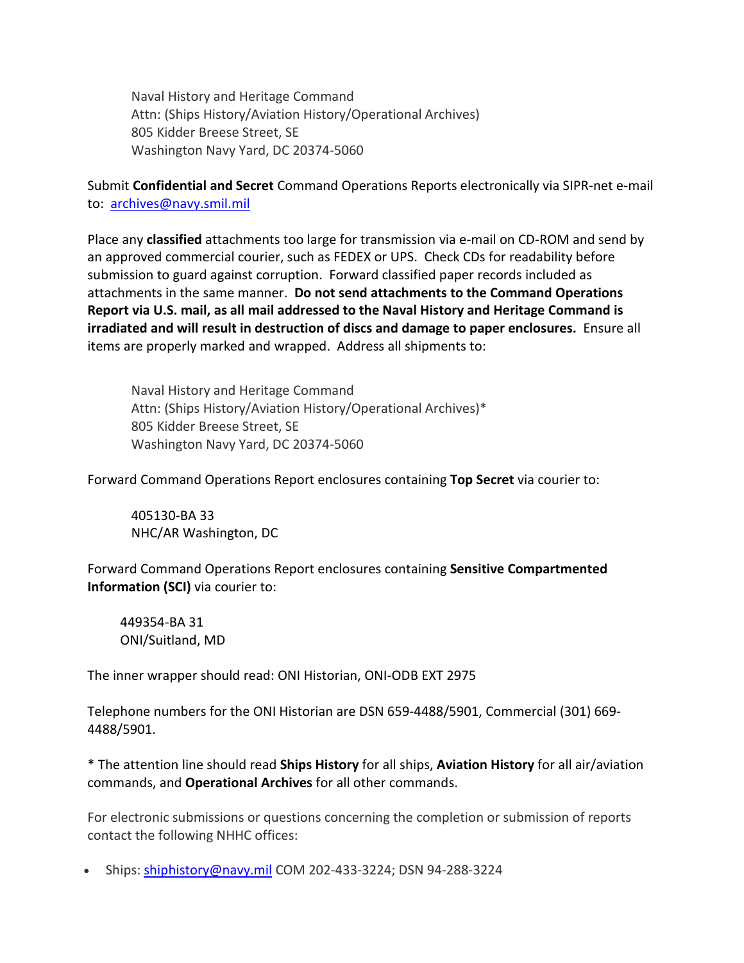Naval History and Heritage Command Attn: (Ships History/Aviation History/Operational Archives) 805 Kidder Breese Street, SE Washington Navy Yard, DC 20374-5060

Submit **Confidential and Secret** Command Operations Reports electronically via SIPR-net e-mail to: [archives@navy.smil.mil](mailto:archives@navy.smil.mil)

Place any **classified** attachments too large for transmission via e-mail on CD-ROM and send by an approved commercial courier, such as FEDEX or UPS. Check CDs for readability before submission to guard against corruption. Forward classified paper records included as attachments in the same manner. **Do not send attachments to the Command Operations Report via U.S. mail, as all mail addressed to the Naval History and Heritage Command is irradiated and will result in destruction of discs and damage to paper enclosures.** Ensure all items are properly marked and wrapped. Address all shipments to:

Naval History and Heritage Command Attn: (Ships History/Aviation History/Operational Archives)\* 805 Kidder Breese Street, SE Washington Navy Yard, DC 20374-5060

Forward Command Operations Report enclosures containing **Top Secret** via courier to:

405130-BA 33 NHC/AR Washington, DC

Forward Command Operations Report enclosures containing **Sensitive Compartmented Information (SCI)** via courier to:

449354-BA 31 ONI/Suitland, MD

The inner wrapper should read: ONI Historian, ONI-ODB EXT 2975

Telephone numbers for the ONI Historian are DSN 659-4488/5901, Commercial (301) 669- 4488/5901.

\* The attention line should read **Ships History** for all ships, **Aviation History** for all air/aviation commands, and **Operational Archives** for all other commands.

For electronic submissions or questions concerning the completion or submission of reports contact the following NHHC offices:

• Ships: [shiphistory@navy.mil](mailto:shiphistory@navy.mil) COM 202-433-3224; DSN 94-288-3224